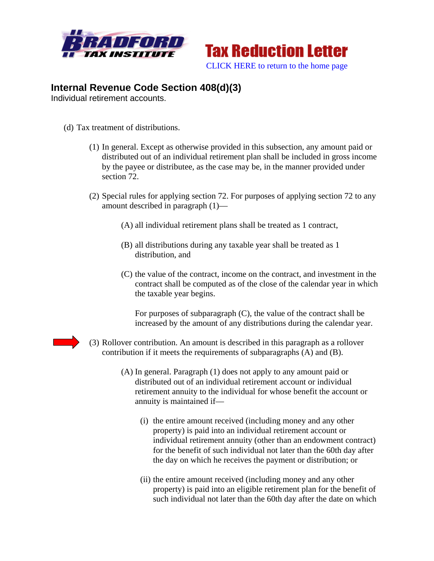



## **Internal Revenue Code Section 408(d)(3)**

Individual retirement accounts.

- (d) Tax treatment of distributions.
	- (1) In general. Except as otherwise provided in this subsection, any amount paid or distributed out of an individual retirement plan shall be included in gross income by the payee or distributee, as the case may be, in the manner provided under section 72.
	- (2) Special rules for applying section 72. For purposes of applying section 72 to any amount described in paragraph (1)—
		- (A) all individual retirement plans shall be treated as 1 contract,
		- (B) all distributions during any taxable year shall be treated as 1 distribution, and
		- (C) the value of the contract, income on the contract, and investment in the contract shall be computed as of the close of the calendar year in which the taxable year begins.

For purposes of subparagraph (C), the value of the contract shall be increased by the amount of any distributions during the calendar year.

- 
- (3) Rollover contribution. An amount is described in this paragraph as a rollover contribution if it meets the requirements of subparagraphs (A) and (B).
	- (A) In general. Paragraph (1) does not apply to any amount paid or distributed out of an individual retirement account or individual retirement annuity to the individual for whose benefit the account or annuity is maintained if—
		- (i) the entire amount received (including money and any other property) is paid into an individual retirement account or individual retirement annuity (other than an endowment contract) for the benefit of such individual not later than the 60th day after the day on which he receives the payment or distribution; or
		- (ii) the entire amount received (including money and any other property) is paid into an eligible retirement plan for the benefit of such individual not later than the 60th day after the date on which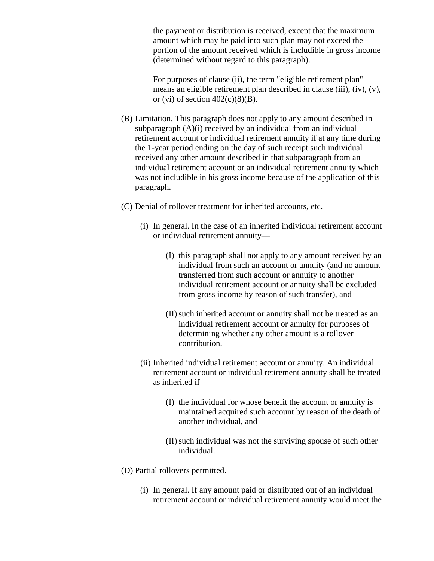the payment or distribution is received, except that the maximum amount which may be paid into such plan may not exceed the portion of the amount received which is includible in gross income (determined without regard to this paragraph).

For purposes of clause (ii), the term "eligible retirement plan" means an eligible retirement plan described in clause (iii), (iv), (v), or (vi) of section  $402(c)(8)(B)$ .

- (B) Limitation. This paragraph does not apply to any amount described in subparagraph (A)(i) received by an individual from an individual retirement account or individual retirement annuity if at any time during the 1-year period ending on the day of such receipt such individual received any other amount described in that subparagraph from an individual retirement account or an individual retirement annuity which was not includible in his gross income because of the application of this paragraph.
- (C) Denial of rollover treatment for inherited accounts, etc.
	- (i) In general. In the case of an inherited individual retirement account or individual retirement annuity—
		- (I) this paragraph shall not apply to any amount received by an individual from such an account or annuity (and no amount transferred from such account or annuity to another individual retirement account or annuity shall be excluded from gross income by reason of such transfer), and
		- (II)such inherited account or annuity shall not be treated as an individual retirement account or annuity for purposes of determining whether any other amount is a rollover contribution.
	- (ii) Inherited individual retirement account or annuity. An individual retirement account or individual retirement annuity shall be treated as inherited if—
		- (I) the individual for whose benefit the account or annuity is maintained acquired such account by reason of the death of another individual, and
		- (II)such individual was not the surviving spouse of such other individual.
- (D) Partial rollovers permitted.
	- (i) In general. If any amount paid or distributed out of an individual retirement account or individual retirement annuity would meet the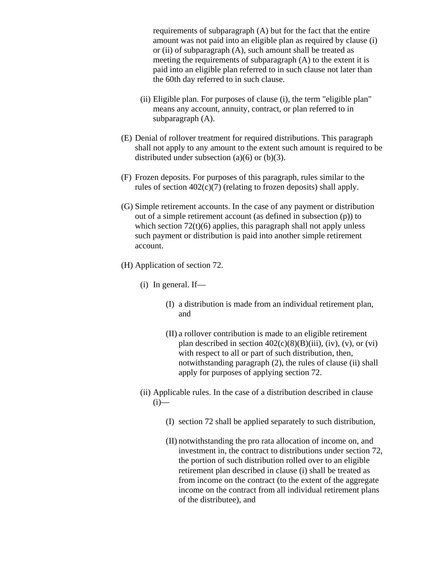requirements of subparagraph (A) but for the fact that the entire amount was not paid into an eligible plan as required by clause (i) or (ii) of subparagraph (A), such amount shall be treated as meeting the requirements of subparagraph (A) to the extent it is paid into an eligible plan referred to in such clause not later than the 60th day referred to in such clause.

- (ii) Eligible plan. For purposes of clause (i), the term "eligible plan" means any account, annuity, contract, or plan referred to in subparagraph (A).
- (E) Denial of rollover treatment for required distributions. This paragraph shall not apply to any amount to the extent such amount is required to be distributed under subsection (a)(6) or (b)(3).
- (F) Frozen deposits. For purposes of this paragraph, rules similar to the rules of section 402(c)(7) (relating to frozen deposits) shall apply.
- (G) Simple retirement accounts. In the case of any payment or distribution out of a simple retirement account (as defined in subsection (p)) to which section  $72(t)(6)$  applies, this paragraph shall not apply unless such payment or distribution is paid into another simple retirement account.
- (H) Application of section 72.
	- (i) In general. If—
		- (I) a distribution is made from an individual retirement plan, and
		- (II) a rollover contribution is made to an eligible retirement plan described in section  $402(c)(8)(B)(iii)$ , (iv), (v), or (vi) with respect to all or part of such distribution, then, notwithstanding paragraph (2), the rules of clause (ii) shall apply for purposes of applying section 72.
	- (ii) Applicable rules. In the case of a distribution described in clause  $(i)$ —
		- (I) section 72 shall be applied separately to such distribution,
		- (II) notwithstanding the pro rata allocation of income on, and investment in, the contract to distributions under section 72, the portion of such distribution rolled over to an eligible retirement plan described in clause (i) shall be treated as from income on the contract (to the extent of the aggregate income on the contract from all individual retirement plans of the distributee), and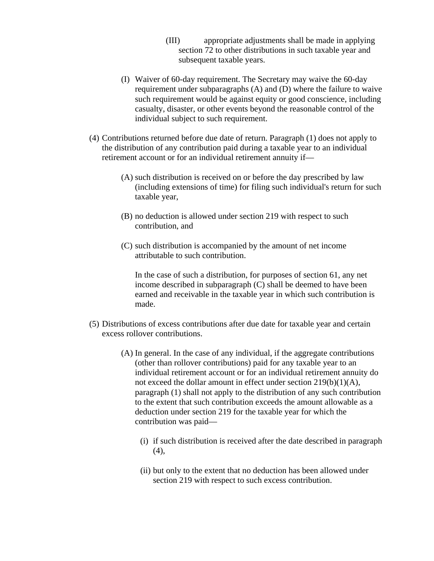- (III) appropriate adjustments shall be made in applying section 72 to other distributions in such taxable year and subsequent taxable years.
- (I) Waiver of 60-day requirement. The Secretary may waive the 60-day requirement under subparagraphs (A) and (D) where the failure to waive such requirement would be against equity or good conscience, including casualty, disaster, or other events beyond the reasonable control of the individual subject to such requirement.
- (4) Contributions returned before due date of return. Paragraph (1) does not apply to the distribution of any contribution paid during a taxable year to an individual retirement account or for an individual retirement annuity if—
	- (A) such distribution is received on or before the day prescribed by law (including extensions of time) for filing such individual's return for such taxable year,
	- (B) no deduction is allowed under section 219 with respect to such contribution, and
	- (C) such distribution is accompanied by the amount of net income attributable to such contribution.

In the case of such a distribution, for purposes of section 61, any net income described in subparagraph (C) shall be deemed to have been earned and receivable in the taxable year in which such contribution is made.

- (5) Distributions of excess contributions after due date for taxable year and certain excess rollover contributions.
	- (A) In general. In the case of any individual, if the aggregate contributions (other than rollover contributions) paid for any taxable year to an individual retirement account or for an individual retirement annuity do not exceed the dollar amount in effect under section 219(b)(1)(A), paragraph (1) shall not apply to the distribution of any such contribution to the extent that such contribution exceeds the amount allowable as a deduction under section 219 for the taxable year for which the contribution was paid—
		- (i) if such distribution is received after the date described in paragraph (4),
		- (ii) but only to the extent that no deduction has been allowed under section 219 with respect to such excess contribution.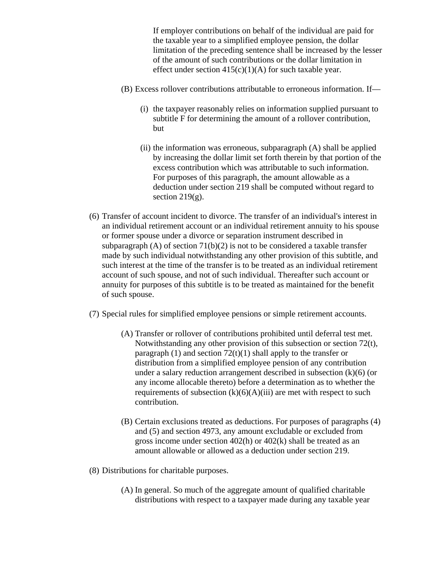If employer contributions on behalf of the individual are paid for the taxable year to a simplified employee pension, the dollar limitation of the preceding sentence shall be increased by the lesser of the amount of such contributions or the dollar limitation in effect under section  $415(c)(1)(A)$  for such taxable year.

- (B) Excess rollover contributions attributable to erroneous information. If—
	- (i) the taxpayer reasonably relies on information supplied pursuant to subtitle F for determining the amount of a rollover contribution, but
	- (ii) the information was erroneous, subparagraph (A) shall be applied by increasing the dollar limit set forth therein by that portion of the excess contribution which was attributable to such information. For purposes of this paragraph, the amount allowable as a deduction under section 219 shall be computed without regard to section  $219(g)$ .
- (6) Transfer of account incident to divorce. The transfer of an individual's interest in an individual retirement account or an individual retirement annuity to his spouse or former spouse under a divorce or separation instrument described in subparagraph (A) of section  $71(b)(2)$  is not to be considered a taxable transfer made by such individual notwithstanding any other provision of this subtitle, and such interest at the time of the transfer is to be treated as an individual retirement account of such spouse, and not of such individual. Thereafter such account or annuity for purposes of this subtitle is to be treated as maintained for the benefit of such spouse.
- (7) Special rules for simplified employee pensions or simple retirement accounts.
	- (A) Transfer or rollover of contributions prohibited until deferral test met. Notwithstanding any other provision of this subsection or section 72(t), paragraph  $(1)$  and section  $72(t)(1)$  shall apply to the transfer or distribution from a simplified employee pension of any contribution under a salary reduction arrangement described in subsection  $(k)(6)$  (or any income allocable thereto) before a determination as to whether the requirements of subsection  $(k)(6)(A)(iii)$  are met with respect to such contribution.
	- (B) Certain exclusions treated as deductions. For purposes of paragraphs (4) and (5) and section 4973, any amount excludable or excluded from gross income under section 402(h) or 402(k) shall be treated as an amount allowable or allowed as a deduction under section 219.
- (8) Distributions for charitable purposes.
	- (A) In general. So much of the aggregate amount of qualified charitable distributions with respect to a taxpayer made during any taxable year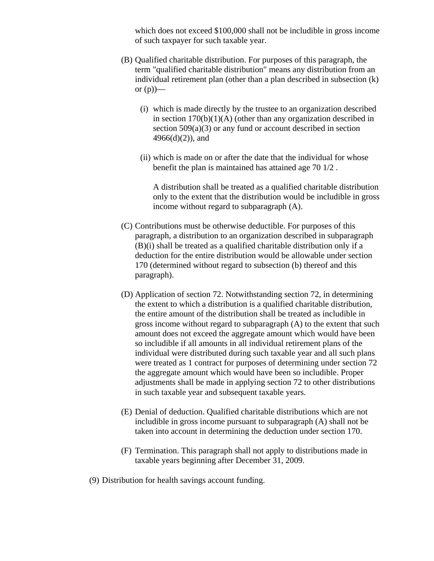which does not exceed \$100,000 shall not be includible in gross income of such taxpayer for such taxable year.

- (B) Qualified charitable distribution. For purposes of this paragraph, the term "qualified charitable distribution" means any distribution from an individual retirement plan (other than a plan described in subsection (k) or  $(p)$ —
	- (i) which is made directly by the trustee to an organization described in section 170(b)(1)(A) (other than any organization described in section  $509(a)(3)$  or any fund or account described in section  $4966(d)(2)$ , and
	- (ii) which is made on or after the date that the individual for whose benefit the plan is maintained has attained age 70 1/2 .

A distribution shall be treated as a qualified charitable distribution only to the extent that the distribution would be includible in gross income without regard to subparagraph (A).

- (C) Contributions must be otherwise deductible. For purposes of this paragraph, a distribution to an organization described in subparagraph (B)(i) shall be treated as a qualified charitable distribution only if a deduction for the entire distribution would be allowable under section 170 (determined without regard to subsection (b) thereof and this paragraph).
- (D) Application of section 72. Notwithstanding section 72, in determining the extent to which a distribution is a qualified charitable distribution, the entire amount of the distribution shall be treated as includible in gross income without regard to subparagraph (A) to the extent that such amount does not exceed the aggregate amount which would have been so includible if all amounts in all individual retirement plans of the individual were distributed during such taxable year and all such plans were treated as 1 contract for purposes of determining under section 72 the aggregate amount which would have been so includible. Proper adjustments shall be made in applying section 72 to other distributions in such taxable year and subsequent taxable years.
- (E) Denial of deduction. Qualified charitable distributions which are not includible in gross income pursuant to subparagraph (A) shall not be taken into account in determining the deduction under section 170.
- (F) Termination. This paragraph shall not apply to distributions made in taxable years beginning after December 31, 2009.
- (9) Distribution for health savings account funding.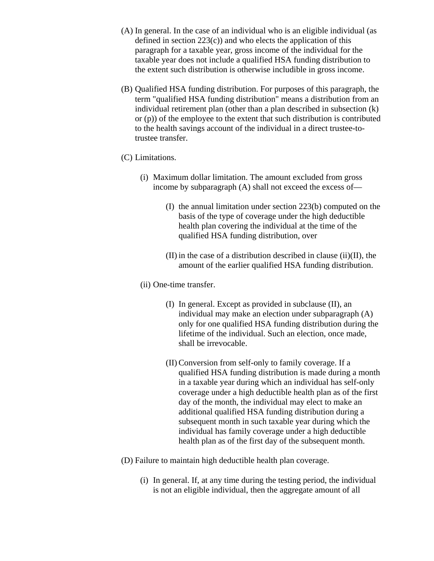- (A) In general. In the case of an individual who is an eligible individual (as defined in section  $223(c)$  and who elects the application of this paragraph for a taxable year, gross income of the individual for the taxable year does not include a qualified HSA funding distribution to the extent such distribution is otherwise includible in gross income.
- (B) Qualified HSA funding distribution. For purposes of this paragraph, the term "qualified HSA funding distribution" means a distribution from an individual retirement plan (other than a plan described in subsection (k) or (p)) of the employee to the extent that such distribution is contributed to the health savings account of the individual in a direct trustee-totrustee transfer.
- (C) Limitations.
	- (i) Maximum dollar limitation. The amount excluded from gross income by subparagraph (A) shall not exceed the excess of—
		- (I) the annual limitation under section 223(b) computed on the basis of the type of coverage under the high deductible health plan covering the individual at the time of the qualified HSA funding distribution, over
		- (II) in the case of a distribution described in clause (ii)(II), the amount of the earlier qualified HSA funding distribution.
	- (ii) One-time transfer.
		- (I) In general. Except as provided in subclause (II), an individual may make an election under subparagraph (A) only for one qualified HSA funding distribution during the lifetime of the individual. Such an election, once made, shall be irrevocable.
		- (II) Conversion from self-only to family coverage. If a qualified HSA funding distribution is made during a month in a taxable year during which an individual has self-only coverage under a high deductible health plan as of the first day of the month, the individual may elect to make an additional qualified HSA funding distribution during a subsequent month in such taxable year during which the individual has family coverage under a high deductible health plan as of the first day of the subsequent month.
- (D) Failure to maintain high deductible health plan coverage.
	- (i) In general. If, at any time during the testing period, the individual is not an eligible individual, then the aggregate amount of all